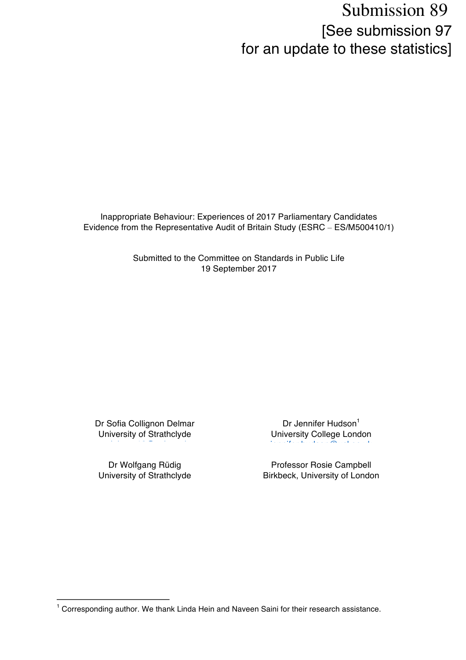## Submission 89 [See submission 97 for an update to these statistics]

Inappropriate Behaviour: Experiences of 2017 Parliamentary Candidates Evidence from the Representative Audit of Britain Study (ESRC – ES/M500410/1)

> Submitted to the Committee on Standards in Public Life 19 September 2017

Dr Sofia Collignon Delmar University of Strathclyde

a.delmar.12@ucl.ac.uk

Dr Wolfgang Rüdig University of Strathclyde

 

Dr Jennifer Hudson<sup>1</sup> University College London jennifer.hudson@ucl.ac.uk

Professor Rosie Campbell Birkbeck, University of London

<sup>&</sup>lt;sup>1</sup> Corresponding author. We thank Linda Hein and Naveen Saini for their research assistance.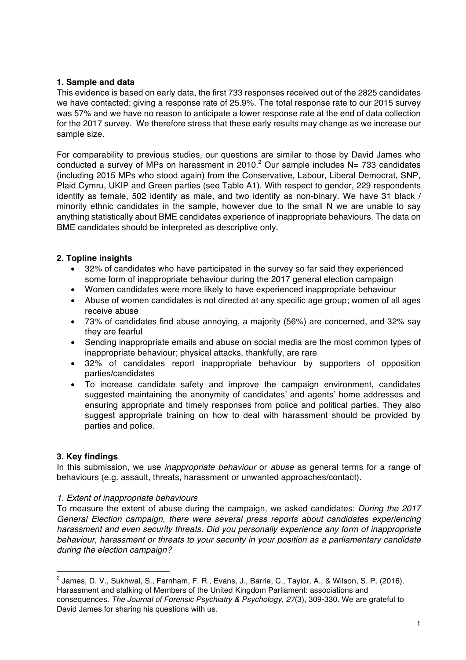#### 1. Sample and data

This evidence is based on early data, the first 733 responses received out of the 2825 candidates we have contacted; giving a response rate of 25.9%. The total response rate to our 2015 survey was 57% and we have no reason to anticipate a lower response rate at the end of data collection for the 2017 survey. We therefore stress that these early results may change as we increase our sample size.

For comparability to previous studies, our questions are similar to those by David James who conducted a survey of MPs on harassment in  $2010<sup>2</sup>$  Our sample includes N= 733 candidates (including 2015 MPs who stood again) from the Conservative, Labour, Liberal Democrat, SNP, Plaid Cymru, UKIP and Green parties (see Table A1). With respect to gender, 229 respondents identify as female, 502 identify as male, and two identify as non-binary. We have 31 black / minority ethnic candidates in the sample, however due to the small N we are unable to say anything statistically about BME candidates experience of inappropriate behaviours. The data on BME candidates should be interpreted as descriptive only.

#### 2. Topline insights

- 32% of candidates who have participated in the survey so far said they experienced  $\bullet$ some form of inappropriate behaviour during the 2017 general election campaign
- Women candidates were more likely to have experienced inappropriate behaviour
- Abuse of women candidates is not directed at any specific age group; women of all ages receive abuse
- 73% of candidates find abuse annoying, a majority (56%) are concerned, and 32% say they are fearful
- Sending inappropriate emails and abuse on social media are the most common types of  $\bullet$ inappropriate behaviour: physical attacks, thankfully, are rare
- $\bullet$ 32% of candidates report inappropriate behaviour by supporters of opposition parties/candidates
- To increase candidate safety and improve the campaign environment, candidates suggested maintaining the anonymity of candidates' and agents' home addresses and ensuring appropriate and timely responses from police and political parties. They also suggest appropriate training on how to deal with harassment should be provided by parties and police.

#### 3. Key findings

In this submission, we use *inappropriate behaviour* or *abuse* as general terms for a range of behaviours (e.g. assault, threats, harassment or unwanted approaches/contact).

#### 1. Extent of inappropriate behaviours

To measure the extent of abuse during the campaign, we asked candidates: During the 2017 General Election campaign, there were several press reports about candidates experiencing harassment and even security threats. Did you personally experience any form of inappropriate behaviour, harassment or threats to your security in your position as a parliamentary candidate during the election campaign?

<sup>&</sup>lt;sup>2</sup> James. D. V., Sukhwal, S., Farnham, F. R., Evans, J., Barrie, C., Taylor, A., & Wilson, S. P. (2016). Harassment and stalking of Members of the United Kingdom Parliament: associations and consequences. The Journal of Forensic Psychiatry & Psychology, 27(3), 309-330. We are grateful to David James for sharing his questions with us.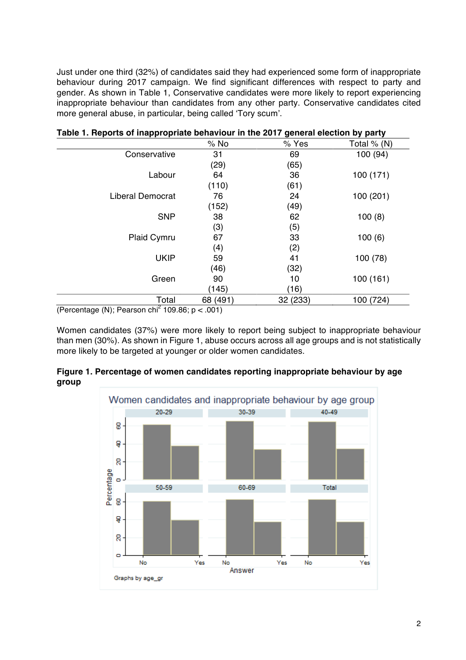Just under one third (32%) of candidates said they had experienced some form of inappropriate behaviour during 2017 campaign. We find significant differences with respect to party and gender. As shown in Table 1, Conservative candidates were more likely to report experiencing inappropriate behaviour than candidates from any other party. Conservative candidates cited more general abuse, in particular, being called 'Tory scum'.

| .                       |          | அ−∙∙∽∙   | , , , ,       |
|-------------------------|----------|----------|---------------|
|                         | $%$ No   | % Yes    | Total $% (N)$ |
| Conservative            | 31       | 69       | 100 (94)      |
|                         | (29)     | (65)     |               |
| Labour                  | 64       | 36       | 100 (171)     |
|                         | (110)    | (61)     |               |
| <b>Liberal Democrat</b> | 76       | 24       | 100 (201)     |
|                         | (152)    | (49)     |               |
| <b>SNP</b>              | 38       | 62       | 100(8)        |
|                         | (3)      | (5)      |               |
| Plaid Cymru             | 67       | 33       | 100(6)        |
|                         | (4)      | (2)      |               |
| <b>UKIP</b>             | 59       | 41       | 100 (78)      |
|                         | (46)     | (32)     |               |
| Green                   | 90       | 10       | 100(161)      |
|                         | (145)    | (16)     |               |
| Total                   | 68 (491) | 32 (233) | 100 (724)     |
| $.2 -$<br>$\cdots$      |          |          |               |

|  |  | Table 1. Reports of inappropriate behaviour in the 2017 general election by party |  |  |  |
|--|--|-----------------------------------------------------------------------------------|--|--|--|
|  |  |                                                                                   |  |  |  |

(Percentage (N); Pearson chi<sup>2</sup> 109.86;  $p < .001$ )

Women candidates (37%) were more likely to report being subject to inappropriate behaviour than men (30%). As shown in Figure 1, abuse occurs across all age groups and is not statistically more likely to be targeted at younger or older women candidates.



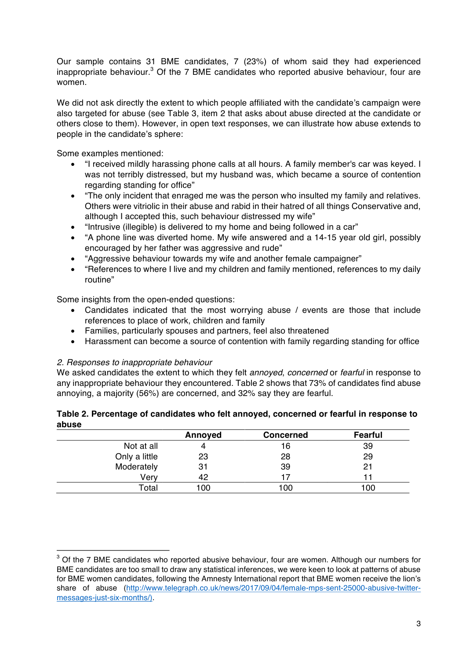Our sample contains 31 BME candidates, 7 (23%) of whom said they had experienced inappropriate behaviour.<sup>3</sup> Of the 7 BME candidates who reported abusive behaviour, four are women.

We did not ask directly the extent to which people affiliated with the candidate's campaign were also targeted for abuse (see Table 3, item 2 that asks about abuse directed at the candidate or others close to them). However, in open text responses, we can illustrate how abuse extends to people in the candidate's sphere:

Some examples mentioned:

- "I received mildly harassing phone calls at all hours. A family member's car was keyed. I was not terribly distressed, but my husband was, which became a source of contention regarding standing for office"
- "The only incident that enraged me was the person who insulted my family and relatives.  $\bullet$ Others were vitriolic in their abuse and rabid in their hatred of all things Conservative and, although I accepted this, such behaviour distressed my wife"
- "Intrusive (illegible) is delivered to my home and being followed in a car"  $\bullet$
- "A phone line was diverted home. My wife answered and a 14-15 year old girl, possibly  $\bullet$ encouraged by her father was aggressive and rude"
- "Aggressive behaviour towards my wife and another female campaigner"  $\bullet$
- "References to where I live and my children and family mentioned, references to my daily  $\bullet$ routine"

Some insights from the open-ended questions:

- Candidates indicated that the most worrving abuse / events are those that include  $\bullet$ references to place of work, children and family
- Families, particularly spouses and partners, feel also threatened
- Harassment can become a source of contention with family regarding standing for office

#### 2. Responses to inappropriate behaviour

We asked candidates the extent to which they felt annoyed, concerned or fearful in response to any inappropriate behaviour they encountered. Table 2 shows that 73% of candidates find abuse annoving, a majority (56%) are concerned, and 32% say they are fearful.

| apuse |               |         |                  |                |
|-------|---------------|---------|------------------|----------------|
|       |               | Annoyed | <b>Concerned</b> | <b>Fearful</b> |
|       | Not at all    |         | 16               | 39             |
|       | Only a little | 23      | 28               | 29             |
|       | Moderately    | 31      | 39               | 21             |
|       | Verv          | 42      |                  |                |
|       | Total         | 100     | 100              | 100            |

# Table 2. Percentage of candidates who felt annoyed, concerned or fearful in response to

 $3$  Of the 7 BME candidates who reported abusive behaviour, four are women. Although our numbers for BME candidates are too small to draw any statistical inferences, we were keen to look at patterns of abuse for BME women candidates, following the Amnesty International report that BME women receive the lion's share of abuse (http://www.telegraph.co.uk/news/2017/09/04/female-mps-sent-25000-abusive-twittermessages-just-six-months/)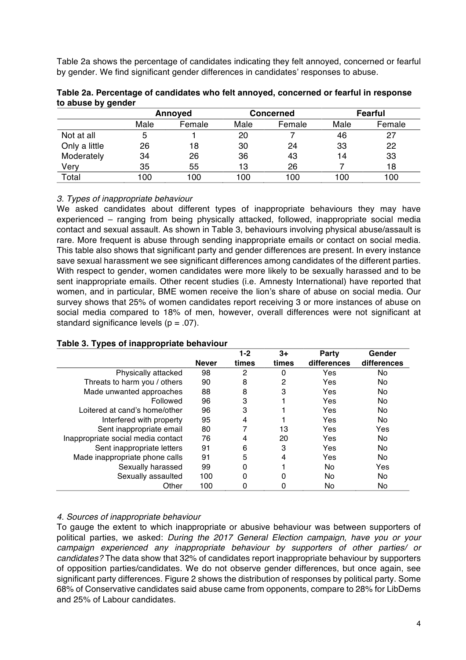Table 2a shows the percentage of candidates indicating they felt annoyed, concerned or fearful by gender. We find significant gender differences in candidates' responses to abuse.

|               | Annoyed |        | Concerned |        | <b>Fearful</b> |        |
|---------------|---------|--------|-----------|--------|----------------|--------|
|               | Male    | Female | Male      | Female | Male           | Female |
| Not at all    | 5       |        | 20        |        | 46             | 27     |
| Only a little | 26      | 18     | 30        | 24     | 33             | 22     |
| Moderately    | 34      | 26     | 36        | 43     | 14             | 33     |
| Very          | 35      | 55     | 13        | 26     |                | 18     |
| Total         | 100     | 100    | 100       | 100    | 100            | 100    |

| Table 2a. Percentage of candidates who felt annoyed, concerned or fearful in response |  |  |
|---------------------------------------------------------------------------------------|--|--|
| to abuse by gender                                                                    |  |  |

#### 3. Types of inappropriate behaviour

We asked candidates about different types of inappropriate behaviours they may have experienced – ranging from being physically attacked, followed, inappropriate social media contact and sexual assault. As shown in Table 3, behaviours involving physical abuse/assault is rare. More frequent is abuse through sending inappropriate emails or contact on social media. This table also shows that significant party and gender differences are present. In every instance save sexual harassment we see significant differences among candidates of the different parties. With respect to gender, women candidates were more likely to be sexually harassed and to be sent inappropriate emails. Other recent studies (i.e. Amnesty International) have reported that women, and in particular, BME women receive the lion's share of abuse on social media. Our survey shows that 25% of women candidates report receiving 3 or more instances of abuse on social media compared to 18% of men, however, overall differences were not significant at standard significance levels ( $p = .07$ ).

|                                    |              | $1-2$ | $3+$  | <b>Party</b> | Gender      |
|------------------------------------|--------------|-------|-------|--------------|-------------|
|                                    | <b>Never</b> | times | times | differences  | differences |
| Physically attacked                | 98           | 2     | 0     | Yes          | No          |
| Threats to harm you / others       | 90           | 8     | 2     | Yes          | No          |
| Made unwanted approaches           | 88           | 8     | 3     | Yes          | No          |
| Followed                           | 96           | 3     |       | Yes          | No          |
| Loitered at cand's home/other      | 96           | 3     |       | Yes          | No          |
| Interfered with property           | 95           | 4     |       | Yes          | No          |
| Sent inappropriate email           | 80           |       | 13    | Yes          | Yes         |
| Inappropriate social media contact | 76           | 4     | 20    | Yes          | No          |
| Sent inappropriate letters         | 91           | 6     | 3     | Yes          | No          |
| Made inappropriate phone calls     | 91           | 5     | 4     | Yes          | No          |
| Sexually harassed                  | 99           | 0     |       | No           | Yes         |
| Sexually assaulted                 | 100          | 0     | 0     | No           | No          |
| Other                              | 100          |       | 0     | No           | No          |

#### Table 3. Types of inappropriate behaviour

#### 4. Sources of inappropriate behaviour

To gauge the extent to which inappropriate or abusive behaviour was between supporters of political parties, we asked: During the 2017 General Election campaign, have you or your campaign experienced any inappropriate behaviour by supporters of other parties/ or candidates? The data show that 32% of candidates report inappropriate behaviour by supporters of opposition parties/candidates. We do not observe gender differences, but once again, see significant party differences. Figure 2 shows the distribution of responses by political party. Some 68% of Conservative candidates said abuse came from opponents, compare to 28% for LibDems and 25% of Labour candidates.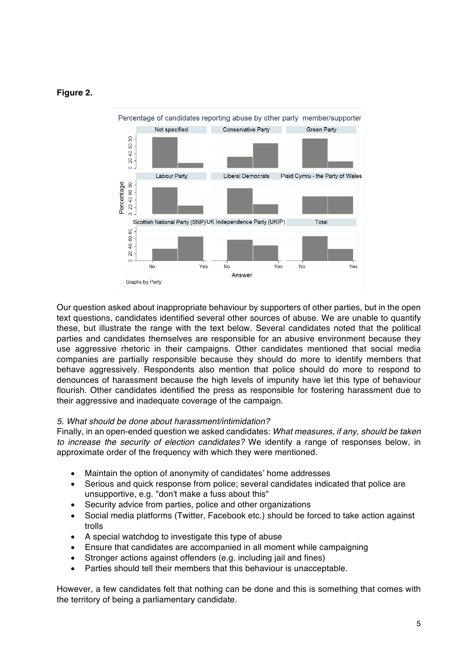#### Figure 2.



Our question asked about inappropriate behaviour by supporters of other parties, but in the open text questions, candidates identified several other sources of abuse. We are unable to quantify these, but illustrate the range with the text below. Several candidates noted that the political parties and candidates themselves are responsible for an abusive environment because they use aggressive rhetoric in their campaigns. Other candidates mentioned that social media companies are partially responsible because they should do more to identify members that behave aggressively. Respondents also mention that police should do more to respond to denounces of harassment because the high levels of impunity have let this type of behaviour flourish. Other candidates identified the press as responsible for fostering harassment due to their aggressive and inadequate coverage of the campaign.

#### 5. What should be done about harassment/intimidation?

Finally, in an open-ended question we asked candidates: What measures, if any, should be taken to increase the security of election candidates? We identify a range of responses below, in approximate order of the frequency with which they were mentioned.

- Maintain the option of anonymity of candidates' home addresses  $\bullet$
- Serious and quick response from police: several candidates indicated that police are  $\bullet$ unsupportive, e.g. "don't make a fuss about this"
- Security advice from parties, police and other organizations  $\bullet$
- Social media platforms (Twitter, Facebook etc.) should be forced to take action against  $\bullet$ trolls
- A special watchdog to investigate this type of abuse  $\bullet$
- Ensure that candidates are accompanied in all moment while campaigning  $\bullet$
- Stronger actions against offenders (e.g. including jail and fines)  $\bullet$
- Parties should tell their members that this behaviour is unacceptable.  $\bullet$

However, a few candidates felt that nothing can be done and this is something that comes with the territory of being a parliamentary candidate.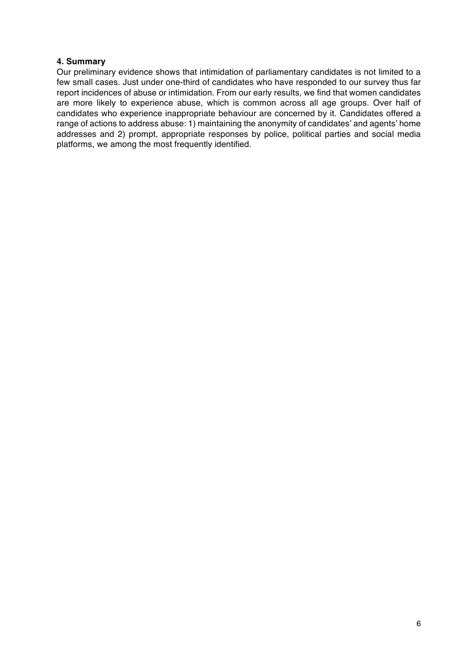#### 4. Summary

Our preliminary evidence shows that intimidation of parliamentary candidates is not limited to a few small cases. Just under one-third of candidates who have responded to our survey thus far report incidences of abuse or intimidation. From our early results, we find that women candidates are more likely to experience abuse, which is common across all age groups. Over half of candidates who experience inappropriate behaviour are concerned by it. Candidates offered a range of actions to address abuse: 1) maintaining the anonymity of candidates' and agents' home addresses and 2) prompt, appropriate responses by police, political parties and social media platforms, we among the most frequently identified.